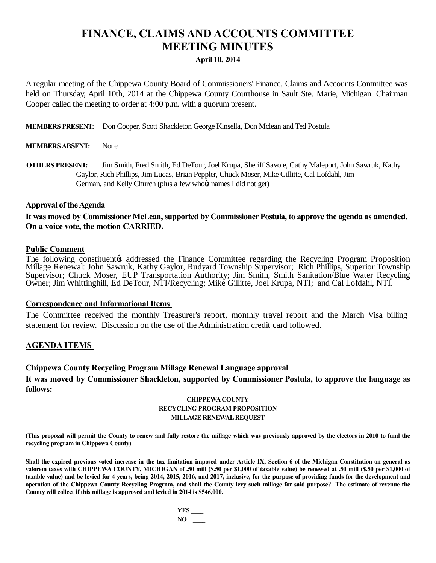# **FINANCE, CLAIMS AND ACCOUNTS COMMITTEE MEETING MINUTES**

### **April 10, 2014**

A regular meeting of the Chippewa County Board of Commissioners' Finance, Claims and Accounts Committee was held on Thursday, April 10th, 2014 at the Chippewa County Courthouse in Sault Ste. Marie, Michigan. Chairman Cooper called the meeting to order at 4:00 p.m. with a quorum present.

**MEMBERS PRESENT:** Don Cooper, Scott Shackleton George Kinsella, Don Mclean and Ted Postula

### **MEMBERS ABSENT:** None

**OTHERS PRESENT:** Jim Smith, Fred Smith, Ed DeTour, Joel Krupa, Sheriff Savoie, Cathy Maleport, John Sawruk, Kathy Gaylor, Rich Phillips, Jim Lucas, Brian Peppler, Chuck Moser, Mike Gillitte, Cal Lofdahl, Jim German, and Kelly Church (plus a few who $\alpha$  names I did not get)

### **Approval of the Agenda**

It was moved by Commissioner McLean, supported by Commissioner Postula, to approve the agenda as amended. **On a voice vote, the motion CARRIED.**

### **Public Comment**

The following constituentos addressed the Finance Committee regarding the Recycling Program Proposition Millage Renewal: John Sawruk, Kathy Gaylor, Rudyard Township Supervisor; Rich Phillips, Superior Township Supervisor; Chuck Moser, EUP Transportation Authority; Jim Smith, Smith Sanitation/Blue Water Recycling Owner; Jim Whittinghill, Ed DeTour, NTI/Recycling; Mike Gillitte, Joel Krupa, NTI; and Cal Lofdahl, NTI.

#### **Correspondence and Informational Items**

The Committee received the monthly Treasurer's report, monthly travel report and the March Visa billing statement for review. Discussion on the use of the Administration credit card followed.

### **AGENDA ITEMS**

### **Chippewa County Recycling Program Millage Renewal Language approval**

**It was moved by Commissioner Shackleton, supported by Commissioner Postula, to approve the language as follows:**

#### **CHIPPEWA COUNTY RECYCLING PROGRAM PROPOSITION MILLAGE RENEWAL REQUEST**

**(This proposal will permit the County to renew and fully restore the millage which was previously approved by the electors in 2010 to fund the recycling program in Chippewa County)**

Shall the expired previous voted increase in the tax limitation imposed under Article IX, Section 6 of the Michigan Constitution on general as valorem taxes with CHIPPEWA COUNTY, MICHIGAN of .50 mill (\$.50 per \$1,000 of taxable value) be renewed at .50 mill (\$.50 per \$1,000 of **taxable value) and be levied for 4 years, being 2014, 2015, 2016, and 2017, inclusive, for the purpose of providing funds for the development and operation of the Chippewa County Recycling Program, and shall the County levy such millage for said purpose? The estimate of revenue the County will collect if this millage is approved and levied in 2014 is \$546,000.**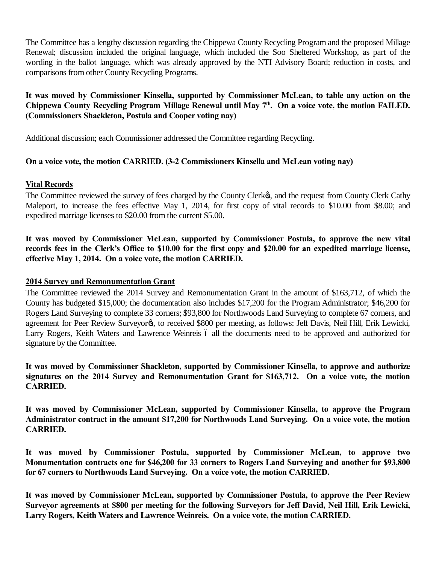The Committee has a lengthy discussion regarding the Chippewa County Recycling Program and the proposed Millage Renewal; discussion included the original language, which included the Soo Sheltered Workshop, as part of the wording in the ballot language, which was already approved by the NTI Advisory Board; reduction in costs, and comparisons from other County Recycling Programs.

# **It was moved by Commissioner Kinsella, supported by Commissioner McLean, to table any action on the**  Chippewa County Recycling Program Millage Renewal until May 7<sup>th</sup>. On a voice vote, the motion FAILED. **(Commissioners Shackleton, Postula and Cooper voting nay)**

Additional discussion; each Commissioner addressed the Committee regarding Recycling.

# **On a voice vote, the motion CARRIED. (3-2 Commissioners Kinsella and McLean voting nay)**

# **Vital Records**

The Committee reviewed the survey of fees charged by the County Clerkø, and the request from County Clerk Cathy Maleport, to increase the fees effective May 1, 2014, for first copy of vital records to \$10.00 from \$8.00; and expedited marriage licenses to \$20.00 from the current \$5.00.

**It was moved by Commissioner McLean, supported by Commissioner Postula, to approve the new vital records fees in the Clerk's Office to \$10.00 for the first copy and \$20.00 for an expedited marriage license, effective May 1, 2014. On a voice vote, the motion CARRIED.**

# **2014 Survey and Remonumentation Grant**

The Committee reviewed the 2014 Survey and Remonumentation Grant in the amount of \$163,712, of which the County has budgeted \$15,000; the documentation also includes \$17,200 for the Program Administrator; \$46,200 for Rogers Land Surveying to complete 33 corners; \$93,800 for Northwoods Land Surveying to complete 67 corners, and agreement for Peer Review Surveyorø, to received \$800 per meeting, as follows: Jeff Davis, Neil Hill, Erik Lewicki, Larry Rogers, Keith Waters and Lawrence Weinreis 6 all the documents need to be approved and authorized for signature by the Committee.

**It was moved by Commissioner Shackleton, supported by Commissioner Kinsella, to approve and authorize signatures on the 2014 Survey and Remonumentation Grant for \$163,712. On a voice vote, the motion CARRIED.**

**It was moved by Commissioner McLean, supported by Commissioner Kinsella, to approve the Program Administrator contract in the amount \$17,200 for Northwoods Land Surveying. On a voice vote, the motion CARRIED.**

**It was moved by Commissioner Postula, supported by Commissioner McLean, to approve two Monumentation contracts one for \$46,200 for 33 corners to Rogers Land Surveying and another for \$93,800 for 67 corners to Northwoods Land Surveying. On a voice vote, the motion CARRIED.**

**It was moved by Commissioner McLean, supported by Commissioner Postula, to approve the Peer Review Surveyor agreements at \$800 per meeting for the following Surveyors for Jeff David, Neil Hill, Erik Lewicki, Larry Rogers, Keith Waters and Lawrence Weinreis. On a voice vote, the motion CARRIED.**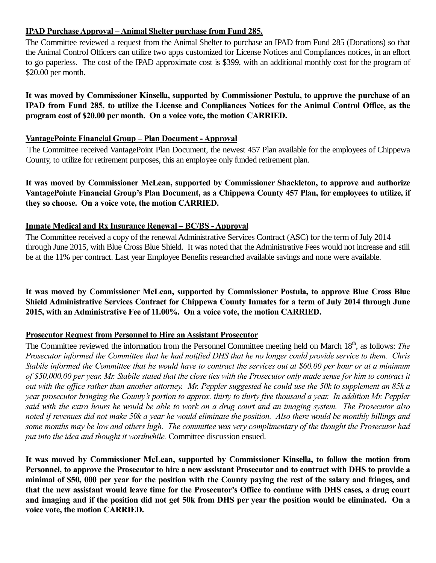# **IPAD Purchase Approval – Animal Shelter purchase from Fund 285.**

The Committee reviewed a request from the Animal Shelter to purchase an IPAD from Fund 285 (Donations) so that the Animal Control Officers can utilize two apps customized for License Notices and Compliances notices, in an effort to go paperless. The cost of the IPAD approximate cost is \$399, with an additional monthly cost for the program of \$20.00 per month.

**It was moved by Commissioner Kinsella, supported by Commissioner Postula, to approve the purchase of an IPAD from Fund 285, to utilize the License and Compliances Notices for the Animal Control Office, as the program cost of \$20.00 per month. On a voice vote, the motion CARRIED.**

### **VantagePointe Financial Group – Plan Document - Approval**

The Committee received VantagePoint Plan Document, the newest 457 Plan available for the employees of Chippewa County, to utilize for retirement purposes, this an employee only funded retirement plan.

**It was moved by Commissioner McLean, supported by Commissioner Shackleton, to approve and authorize VantagePointe Financial Group's Plan Document, as a Chippewa County 457 Plan, for employees to utilize, if they so choose. On a voice vote, the motion CARRIED.**

# **Inmate Medical and Rx Insurance Renewal – BC/BS - Approval**

The Committee received a copy of the renewal Administrative Services Contract (ASC) for the term of July 2014 through June 2015, with Blue Cross Blue Shield. It was noted that the Administrative Fees would not increase and still be at the 11% per contract. Last year Employee Benefits researched available savings and none were available.

**It was moved by Commissioner McLean, supported by Commissioner Postula, to approve Blue Cross Blue Shield Administrative Services Contract for Chippewa County Inmates for a term of July 2014 through June 2015, with an Administrative Fee of 11.00%. On a voice vote, the motion CARRIED.**

# **Prosecutor Request from Personnel to Hire an Assistant Prosecutor**

The Committee reviewed the information from the Personnel Committee meeting held on March 18<sup>th</sup>, as follows: *The Prosecutor informed the Committee that he had notified DHS that he no longer could provide service to them. Chris Stabile informed the Committee that he would have to contract the services out at \$60.00 per hour or at a minimum of \$50,000.00 per year. Mr. Stabile stated that the close ties with the Prosecutor only made sense for him to contract it out with the office rather than another attorney. Mr. Peppler suggested he could use the 50k to supplement an 85k a year prosecutor bringing the County's portion to approx. thirty to thirty five thousand a year. In addition Mr. Peppler said with the extra hours he would be able to work on a drug court and an imaging system. The Prosecutor also noted if revenues did not make 50k a year he would eliminate the position. Also there would be monthly billings and some months may be low and others high. The committee was very complimentary of the thought the Prosecutor had put into the idea and thought it worthwhile.* Committee discussion ensued.

**It was moved by Commissioner McLean, supported by Commissioner Kinsella, to follow the motion from Personnel, to approve the Prosecutor to hire a new assistant Prosecutor and to contract with DHS to provide a minimal of \$50, 000 per year for the position with the County paying the rest of the salary and fringes, and that the new assistant would leave time for the Prosecutor's Office to continue with DHS cases, a drug court and imaging and if the position did not get 50k from DHS per year the position would be eliminated. On a voice vote, the motion CARRIED.**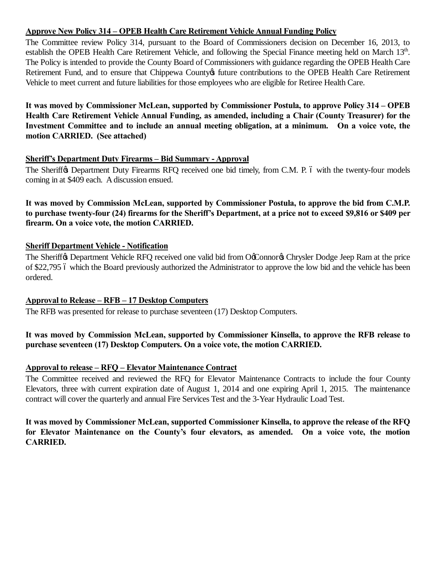# **Approve New Policy 314 – OPEB Health Care Retirement Vehicle Annual Funding Policy**

The Committee review Policy 314, pursuant to the Board of Commissioners decision on December 16, 2013, to establish the OPEB Health Care Retirement Vehicle, and following the Special Finance meeting held on March 13<sup>th</sup>. The Policy is intended to provide the County Board of Commissioners with guidance regarding the OPEB Health Care Retirement Fund, and to ensure that Chippewa County of future contributions to the OPEB Health Care Retirement Vehicle to meet current and future liabilities for those employees who are eligible for Retiree Health Care.

**It was moved by Commissioner McLean, supported by Commissioner Postula, to approve Policy 314 – OPEB Health Care Retirement Vehicle Annual Funding, as amended, including a Chair (County Treasurer) for the Investment Committee and to include an annual meeting obligation, at a minimum. On a voice vote, the motion CARRIED. (See attached)**

# **Sheriff's Department Duty Firearms – Bid Summary - Approval**

The Sheriff $\&$  Department Duty Firearms RFQ received one bid timely, from C.M. P. 6 with the twenty-four models coming in at \$409 each. A discussion ensued.

**It was moved by Commission McLean, supported by Commissioner Postula, to approve the bid from C.M.P. to purchase twenty-four (24) firearms for the Sheriff's Department, at a price not to exceed \$9,816 or \$409 per firearm. On a voice vote, the motion CARRIED.**

# **Sheriff Department Vehicle - Notification**

The Sheriff & Department Vehicle RFQ received one valid bid from OoConnor & Chrysler Dodge Jeep Ram at the price of \$22,795 6 which the Board previously authorized the Administrator to approve the low bid and the vehicle has been ordered.

# **Approval to Release – RFB – 17 Desktop Computers**

The RFB was presented for release to purchase seventeen (17) Desktop Computers.

# **It was moved by Commission McLean, supported by Commissioner Kinsella, to approve the RFB release to purchase seventeen (17) Desktop Computers. On a voice vote, the motion CARRIED.**

# **Approval to release – RFQ – Elevator Maintenance Contract**

The Committee received and reviewed the RFQ for Elevator Maintenance Contracts to include the four County Elevators, three with current expiration date of August 1, 2014 and one expiring April 1, 2015. The maintenance contract will cover the quarterly and annual Fire Services Test and the 3-Year Hydraulic Load Test.

**It was moved by Commissioner McLean, supported Commissioner Kinsella, to approve the release of the RFQ for Elevator Maintenance on the County's four elevators, as amended. On a voice vote, the motion CARRIED.**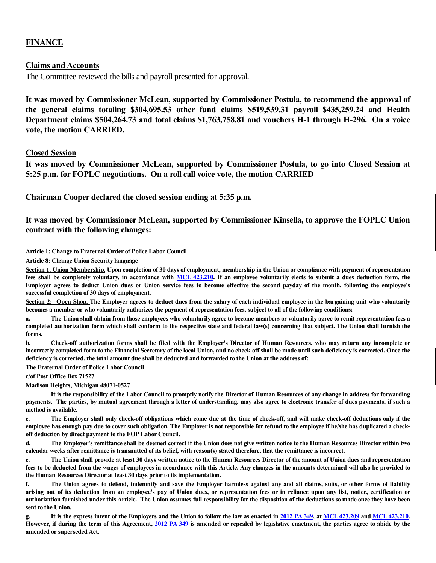### **FINANCE**

#### **Claims and Accounts**

The Committee reviewed the bills and payroll presented for approval.

**It was moved by Commissioner McLean, supported by Commissioner Postula, to recommend the approval of the general claims totaling \$304,695.53 other fund claims \$519,539.31 payroll \$435,259.24 and Health Department claims \$504,264.73 and total claims \$1,763,758.81 and vouchers H-1 through H-296. On a voice vote, the motion CARRIED.**

#### **Closed Session**

**It was moved by Commissioner McLean, supported by Commissioner Postula, to go into Closed Session at 5:25 p.m. for FOPLC negotiations. On a roll call voice vote, the motion CARRIED**

**Chairman Cooper declared the closed session ending at 5:35 p.m.**

**It was moved by Commissioner McLean, supported by Commissioner Kinsella, to approve the FOPLC Union contract with the following changes:**

**Article 1: Change to Fraternal Order of Police Labor Council**

**Article 8: Change Union Security language**

**Section 1. Union Membership. Upon completion of 30 days of employment, membership in the Union or compliance with payment of representation fees shall be completely voluntary, in accordance with MCL 423.210. If an employee voluntarily elects to submit a dues deduction form, the Employer agrees to deduct Union dues or Union service fees to become effective the second payday of the month, following the employee's successful completion of 30 days of employment.** 

Section 2: Open Shop. The Employer agrees to deduct dues from the salary of each individual employee in the bargaining unit who voluntarily **becomes a member or who voluntarily authorizes the payment of representation fees, subject to all of the following conditions:**

**a. The Union shall obtain from those employees who voluntarily agree to become members or voluntarily agree to remit representation fees a completed authorization form which shall conform to the respective state and federal law(s) concerning that subject. The Union shall furnish the forms.** 

**b. Check-off authorization forms shall be filed with the Employer's Director of Human Resources, who may return any incomplete or incorrectly completed form to the Financial Secretary of the local Union, and no check-off shall be made until such deficiency is corrected. Once the deficiency is corrected, the total amount due shall be deducted and forwarded to the Union at the address of:**

**The Fraternal Order of Police Labor Council**

**c/of Post Office Box 71527**

#### **Madison Heights, Michigan 48071-0527**

**It is the responsibility of the Labor Council to promptly notify the Director of Human Resources of any change in address for forwarding payments. The parties, by mutual agreement through a letter of understanding, may also agree to electronic transfer of dues payments, if such a method is available.** 

**c. The Employer shall only check-off obligations which come due at the time of check-off, and will make check-off deductions only if the employee has enough pay due to cover such obligation. The Employer is not responsible for refund to the employee if he/she has duplicated a checkoff deduction by direct payment to the FOP Labor Council.**

**d. The Employer's remittance shall be deemed correct if the Union does not give written notice to the Human Resources Director within two calendar weeks after remittance is transmitted of its belief, with reason(s) stated therefore, that the remittance is incorrect.**

**e. The Union shall provide at least 30 days written notice to the Human Resources Director of the amount of Union dues and representation fees to be deducted from the wages of employees in accordance with this Article. Any changes in the amounts determined will also be provided to the Human Resources Director at least 30 days prior to its implementation.**

**f. The Union agrees to defend, indemnify and save the Employer harmless against any and all claims, suits, or other forms of liability arising out of its deduction from an employee's pay of Union dues, or representation fees or in reliance upon any list, notice, certification or authorization furnished under this Article. The Union assumes full responsibility for the disposition of the deductions so made once they have been sent to the Union.**

**g. It is the express intent of the Employers and the Union to follow the law as enacted in 2012 PA 349, at MCL 423.209 and MCL 423.210. However, if during the term of this Agreement, 2012 PA 349 is amended or repealed by legislative enactment, the parties agree to abide by the amended or superseded Act.**